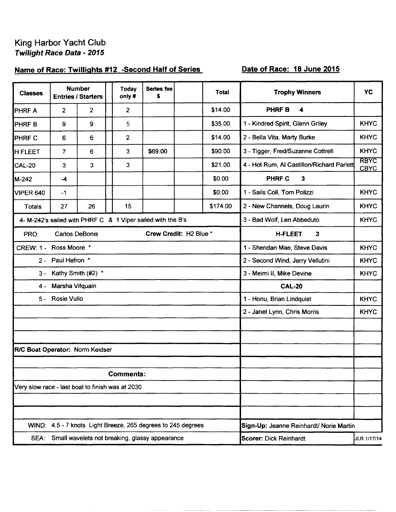## King Harbor Yacht Club Twilight Race Data - 2015

# Name of Race: Twillights #12 -Second Half of Series

### Date of Race: 18 June 2015

| <b>Number</b><br><b>Classes</b><br><b>Entries / Starters</b> |                                                              |                                  | <b>Series fee</b><br><b>Today</b><br>only #<br>\$ |                | Total                     | <b>Trophy Winners</b>                        | <b>YC</b>   |                                           |                            |  |
|--------------------------------------------------------------|--------------------------------------------------------------|----------------------------------|---------------------------------------------------|----------------|---------------------------|----------------------------------------------|-------------|-------------------------------------------|----------------------------|--|
| <b>PHRFA</b>                                                 | $\mathbf{2}$                                                 | $\overline{2}$                   |                                                   | $\overline{c}$ |                           |                                              | \$14.00     | <b>PHRFB</b><br>4                         |                            |  |
| <b>PHRFB</b>                                                 | 9                                                            | 9                                |                                                   | 5              |                           |                                              | \$35.00     | 1 - Kindred Spirit, Glenn Griley          | <b>KHYC</b>                |  |
| <b>PHRF C</b>                                                | 6                                                            | 6                                |                                                   | $\overline{2}$ |                           |                                              | \$14.00     | 2 - Bella Vita, Marty Burke               | <b>KHYC</b>                |  |
| <b>H FLEET</b>                                               | $\overline{7}$                                               | 6                                |                                                   | 3              | \$69.00                   |                                              | \$90.00     | 3 - Tigger, Fred/Suzanne Cottrell         | <b>KHYC</b>                |  |
| <b>CAL-20</b>                                                | 3                                                            | $\overline{\mathbf{3}}$          |                                                   | 3              |                           |                                              | \$21.00     | 4 - Hot Rum, AI Castillon/Richard Parlett | <b>RBYC</b><br><b>CBYC</b> |  |
| M-242                                                        | $-4$                                                         |                                  |                                                   |                |                           |                                              | \$0.00      | <b>PHRF C</b><br>$\mathbf{3}$             |                            |  |
| VIPER 640                                                    | $-1$                                                         |                                  |                                                   |                |                           |                                              | \$0.00      | 1 - Sails Coll, Tom Polizzi               | <b>KHYC</b>                |  |
| <b>Totals</b>                                                | 27                                                           | 26                               |                                                   | 15             |                           |                                              | \$174.00    | 2 - New Channels, Doug Laurin             | <b>KHYC</b>                |  |
|                                                              | 4- M-242's sailed with PHRF C & 1 Viper sailed with the B's  |                                  |                                                   |                |                           | 3 - Bad Wolf, Len Abbeduto                   | <b>KHYC</b> |                                           |                            |  |
| PRO:                                                         | <b>Carlos DeBonis</b>                                        |                                  | Crew Credit: H2 Blue *<br><b>H-FLEET</b><br>3     |                |                           |                                              |             |                                           |                            |  |
|                                                              | CREW: 1 - Ross Moore *<br>1 - Sheridan Mae, Steve Davis      |                                  |                                                   |                |                           | <b>KHYC</b>                                  |             |                                           |                            |  |
|                                                              | 2 - Paul Hefron *<br>2 - Second Wind, Jerry Vellutini        |                                  |                                                   |                |                           |                                              | <b>KHYC</b> |                                           |                            |  |
|                                                              | 3 - Kathy Smith (#2) *<br>3 - Meimi II, Mike Devine          |                                  |                                                   |                |                           |                                              | <b>KHYC</b> |                                           |                            |  |
| 4 -                                                          |                                                              | Marsha Vifquain<br><b>CAL-20</b> |                                                   |                |                           |                                              |             |                                           |                            |  |
| 5 -                                                          | <b>Rosie Vullo</b>                                           |                                  |                                                   |                | 1 - Honu, Brian Lindquist | <b>KHYC</b>                                  |             |                                           |                            |  |
|                                                              |                                                              |                                  |                                                   |                |                           | 2 - Janet Lynn, Chris Morris                 | <b>KHYC</b> |                                           |                            |  |
|                                                              |                                                              |                                  |                                                   |                |                           |                                              |             |                                           |                            |  |
|                                                              |                                                              |                                  |                                                   |                |                           |                                              |             |                                           |                            |  |
| R/C Boat Operator: Norm Keidser                              |                                                              |                                  |                                                   |                |                           |                                              |             |                                           |                            |  |
|                                                              |                                                              |                                  |                                                   |                |                           |                                              |             |                                           |                            |  |
|                                                              | <b>Comments:</b>                                             |                                  |                                                   |                |                           |                                              |             |                                           |                            |  |
| Very slow race - last boat to finish was at 2030             |                                                              |                                  |                                                   |                |                           |                                              |             |                                           |                            |  |
|                                                              |                                                              |                                  |                                                   |                |                           |                                              |             |                                           |                            |  |
|                                                              |                                                              |                                  |                                                   |                |                           |                                              |             |                                           |                            |  |
|                                                              | WIND: 4.5 - 7 knots Light Breeze, 265 degrees to 245 degrees |                                  |                                                   |                |                           | Sign-Up: Jeanne Reinhardt/ Norie Martin      |             |                                           |                            |  |
| SEA: Small wavelets not breaking, glassy appearance          |                                                              |                                  |                                                   |                |                           | <b>Scorer: Dick Reinhardt</b><br>JLR 1/17/14 |             |                                           |                            |  |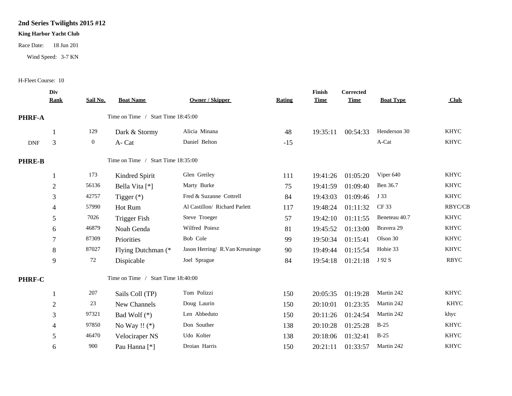### **2nd Series Twilights 2015 #12**

#### **King Harbor Yacht Club**

Race Date: 18 Jun 201

Wind Speed: 3-7 KN

H-Fleet Course: 10

|               | Div<br><b>Rank</b> | Sail No.       | <b>Boat Name</b>                   | Owner / Skipper                | <b>Rating</b> | Finish<br><b>Time</b> | <b>Corrected</b><br><b>Time</b> | <b>Boat Type</b> | Club           |
|---------------|--------------------|----------------|------------------------------------|--------------------------------|---------------|-----------------------|---------------------------------|------------------|----------------|
|               |                    |                |                                    |                                |               |                       |                                 |                  |                |
| <b>PHRF-A</b> |                    |                | Time on Time / Start Time 18:45:00 |                                |               |                       |                                 |                  |                |
|               |                    | 129            | Dark & Stormy                      | Alicia Minana                  | 48            | 19:35:11              | 00:54:33                        | Henderson 30     | <b>KHYC</b>    |
| <b>DNF</b>    | 3                  | $\overline{0}$ | A-Cat                              | Daniel Belton                  | $-15$         |                       |                                 | $A-Cat$          | <b>KHYC</b>    |
| <b>PHRE-B</b> |                    |                | Time on Time / Start Time 18:35:00 |                                |               |                       |                                 |                  |                |
|               |                    | 173            | Kindred Spirit                     | Glen Greiley                   | 111           | 19:41:26              | 01:05:20                        | Viper 640        | <b>KHYC</b>    |
|               | $\overline{c}$     | 56136          | Bella Vita [*]                     | Marty Burke                    | 75            | 19:41:59              | 01:09:40                        | Ben 36.7         | <b>KHYC</b>    |
|               | 3                  | 42757          | Tigger $(*)$                       | Fred & Suzanne Cottrell        | 84            | 19:43:03              | 01:09:46                        | J 33             | <b>KHYC</b>    |
|               | 4                  | 57990          | Hot Rum                            | Al Castillon/ Richard Parlett  | 117           | 19:48:24              | 01:11:32                        | CF 33            | <b>RBYC/CB</b> |
|               | 5                  | 7026           | <b>Trigger Fish</b>                | Steve Troeger                  | 57            | 19:42:10              | 01:11:55                        | Beneteau 40.7    | <b>KHYC</b>    |
|               | 6                  | 46879          | Noah Genda                         | Wilfred Poiesz                 | 81            | 19:45:52              | 01:13:00                        | Bravera 29       | <b>KHYC</b>    |
|               | 7                  | 87309          | Priorities                         | Bob Cole                       | 99            | 19:50:34              | 01:15:41                        | Olson 30         | <b>KHYC</b>    |
|               | 8                  | 87027          | Flying Dutchman (*                 | Jason Herring/ R.Van Kreuninge | 90            | 19:49:44              | 01:15:54                        | Hobie 33         | <b>KHYC</b>    |
|               | 9                  | 72             | Dispicable                         | Joel Sprague                   | 84            | 19:54:18              | 01:21:18                        | J 92 S           | <b>RBYC</b>    |
| PHRF-C        |                    |                | Time on Time / Start Time 18:40:00 |                                |               |                       |                                 |                  |                |
|               |                    | 207            | Sails Coll (TP)                    | Tom Polizzi                    | 150           | 20:05:35              | 01:19:28                        | Martin 242       | <b>KHYC</b>    |
|               | $\overline{c}$     | 23             | New Channels                       | Doug Laurin                    | 150           | 20:10:01              | 01:23:35                        | Martin 242       | <b>KHYC</b>    |
|               | 3                  | 97321          | Bad Wolf $(*)$                     | Len Abbeduto                   | 150           | 20:11:26              | 01:24:54                        | Martin 242       | khyc           |
|               | 4                  | 97850          | No Way !! $(*)$                    | Don Souther                    | 138           | 20:10:28              | 01:25:28                        | $B-25$           | <b>KHYC</b>    |
|               | 5                  | 46470          | Velociraper NS                     | Udo Kolter                     | 138           | 20:18:06              | 01:32:41                        | $B-25$           | <b>KHYC</b>    |
|               | 6                  | 900            | Pau Hanna <sup>[*]</sup>           | Droian Harris                  | 150           | 20:21:11              | 01:33:57                        | Martin 242       | <b>KHYC</b>    |